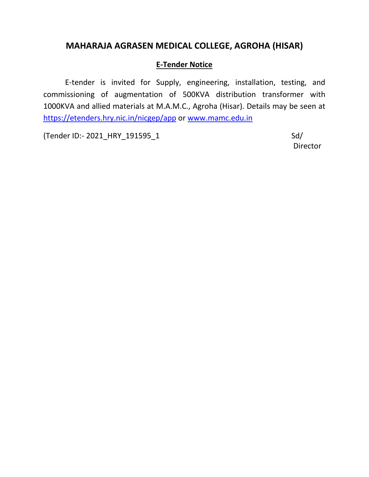## **MAHARAJA AGRASEN MEDICAL COLLEGE, AGROHA (HISAR)**

### **E-Tender Notice**

E-tender is invited for Supply, engineering, installation, testing, and commissioning of augmentation of 500KVA distribution transformer with 1000KVA and allied materials at M.A.M.C., Agroha (Hisar). Details may be seen at <https://etenders.hry.nic.in/nicgep/app> or [www.mamc.edu.in](http://www.mamc.edu.in/)

(Tender ID:- 2021\_HRY\_191595\_1 Sd/

Director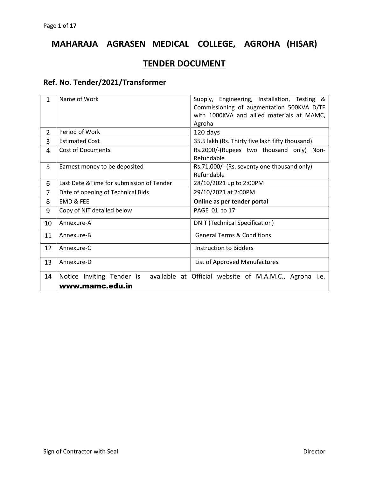# **MAHARAJA AGRASEN MEDICAL COLLEGE, AGROHA (HISAR)**

# **TENDER DOCUMENT**

## **Ref. No. Tender/2021/Transformer**

| Name of Work                                              | Supply, Engineering, Installation, Testing &           |  |  |  |  |
|-----------------------------------------------------------|--------------------------------------------------------|--|--|--|--|
|                                                           | Commissioning of augmentation 500KVA D/TF              |  |  |  |  |
|                                                           | with 1000KVA and allied materials at MAMC,             |  |  |  |  |
|                                                           | Agroha                                                 |  |  |  |  |
| Period of Work                                            | 120 days                                               |  |  |  |  |
| <b>Estimated Cost</b>                                     | 35.5 lakh (Rs. Thirty five lakh fifty thousand)        |  |  |  |  |
| <b>Cost of Documents</b>                                  | Rs.2000/-(Rupees two thousand only)<br>Non-            |  |  |  |  |
|                                                           | Refundable                                             |  |  |  |  |
| Earnest money to be deposited                             | Rs.71,000/- (Rs. seventy one thousand only)            |  |  |  |  |
|                                                           | Refundable                                             |  |  |  |  |
| Last Date & Time for submission of Tender                 | 28/10/2021 up to 2:00PM                                |  |  |  |  |
| Date of opening of Technical Bids                         | 29/10/2021 at 2:00PM                                   |  |  |  |  |
| <b>EMD &amp; FEE</b>                                      | Online as per tender portal                            |  |  |  |  |
| Copy of NIT detailed below                                | PAGE 01 to 17                                          |  |  |  |  |
| <b>DNIT (Technical Specification)</b><br>10<br>Annexure-A |                                                        |  |  |  |  |
| <b>General Terms &amp; Conditions</b><br>Annexure-B       |                                                        |  |  |  |  |
| Annexure-C                                                | Instruction to Bidders                                 |  |  |  |  |
|                                                           |                                                        |  |  |  |  |
|                                                           | List of Approved Manufactures                          |  |  |  |  |
| Notice Inviting Tender is                                 | available at Official website of M.A.M.C., Agroha i.e. |  |  |  |  |
| www.mamc.edu.in                                           |                                                        |  |  |  |  |
|                                                           | Annexure-D                                             |  |  |  |  |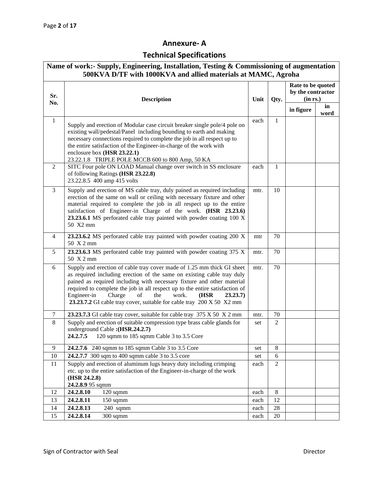### **Annexure- A**

# **Technical Specifications**

| Name of work:- Supply, Engineering, Installation, Testing & Commissioning of augmentation<br>500KVA D/TF with 1000KVA and allied materials at MAMC, Agroha |                                                                                                                                                                                                                                                                                                                                                                                                                                                        |      |                |                                                    |            |
|------------------------------------------------------------------------------------------------------------------------------------------------------------|--------------------------------------------------------------------------------------------------------------------------------------------------------------------------------------------------------------------------------------------------------------------------------------------------------------------------------------------------------------------------------------------------------------------------------------------------------|------|----------------|----------------------------------------------------|------------|
| Sr.<br>No.                                                                                                                                                 | <b>Description</b><br>Unit                                                                                                                                                                                                                                                                                                                                                                                                                             |      | Qty.           | Rate to be quoted<br>by the contractor<br>(in rs.) |            |
|                                                                                                                                                            |                                                                                                                                                                                                                                                                                                                                                                                                                                                        |      |                | in figure                                          | in<br>word |
| $\mathbf{1}$                                                                                                                                               | Supply and erection of Modular case circuit breaker single pole/4 pole on<br>existing wall/pedestal/Panel including bounding to earth and making<br>necessary connections required to complete the job in all respect up to<br>the entire satisfaction of the Engineer-in-charge of the work with<br>enclosure box (HSR 23.22.1)<br>23.22.1.8 TRIPLE POLE MCCB 600 to 800 Amp, 50 KA                                                                   | each | $\mathbf{1}$   |                                                    |            |
| 2                                                                                                                                                          | SITC Four pole ON LOAD Manual change over switch in SS enclosure<br>of following Ratings (HSR 23.22.8)<br>23.22.8.5 400 amp 415 volts                                                                                                                                                                                                                                                                                                                  | each | 1              |                                                    |            |
| 3                                                                                                                                                          | Supply and erection of MS cable tray, duly pained as required including<br>erection of the same on wall or ceiling with necessary fixture and other<br>material required to complete the job in all respect up to the entire<br>satisfaction of Engineer-in Charge of the work. (HSR 23.23.6)<br>23.23.6.1 MS perforated cable tray painted with powder coating 100 X<br>50 X2 mm                                                                      | mtr. | 10             |                                                    |            |
| $\overline{4}$                                                                                                                                             | 23.23.6.2 MS perforated cable tray painted with powder coating 200 X<br>50 X 2 mm                                                                                                                                                                                                                                                                                                                                                                      | mtr  | 70             |                                                    |            |
| 5                                                                                                                                                          | 23.23.6.3 MS perforated cable tray painted with powder coating 375 X<br>50 X 2 mm                                                                                                                                                                                                                                                                                                                                                                      | mtr. | 70             |                                                    |            |
| 6                                                                                                                                                          | Supply and erection of cable tray cover made of 1.25 mm thick GI sheet<br>as required including erection of the same on existing cable tray duly<br>pained as required including with necessary fixture and other material<br>required to complete the job in all respect up to the entire satisfaction of<br>Engineer-in<br>Charge<br>of<br>the<br>work.<br>(HSR<br>23.23.7)<br>23.23.7.2 GI cable tray cover, suitable for cable tray 200 X 50 X2 mm | mtr. | 70             |                                                    |            |
| 7                                                                                                                                                          | 23.23.7.3 GI cable tray cover, suitable for cable tray 375 X 50 X 2 mm                                                                                                                                                                                                                                                                                                                                                                                 | mtr. | 70             |                                                    |            |
| 8                                                                                                                                                          | Supply and erection of suitable compression type brass cable glands for<br>underground Cable: (HSR.24.2.7)<br>120 sqmm to 185 sqmm Cable 3 to 3.5 Core<br>24.2.7.5                                                                                                                                                                                                                                                                                     | set  | $\overline{2}$ |                                                    |            |
| 9                                                                                                                                                          | 24.2.7.6 240 sqmm to 185 sqmm Cable 3 to 3.5 Core                                                                                                                                                                                                                                                                                                                                                                                                      | set  | 8              |                                                    |            |
| 10                                                                                                                                                         | 24.2.7.7 300 sqm to 400 sqmm cable 3 to 3.5 core                                                                                                                                                                                                                                                                                                                                                                                                       | set  | 6              |                                                    |            |
| 11                                                                                                                                                         | Supply and erection of aluminum lugs heavy duty including crimping<br>etc. up to the entire satisfaction of the Engineer-in-charge of the work<br>(HSR 24.2.8)<br>24.2.8.9 95 sqmm                                                                                                                                                                                                                                                                     | each | $\overline{2}$ |                                                    |            |
| 12                                                                                                                                                         | 24.2.8.10<br>120 sqmm                                                                                                                                                                                                                                                                                                                                                                                                                                  | each | 8              |                                                    |            |
| 13                                                                                                                                                         | 24.2.8.11<br>$150$ sqmm                                                                                                                                                                                                                                                                                                                                                                                                                                | each | 12             |                                                    |            |
| 14                                                                                                                                                         | 24.2.8.13<br>240 sqmm                                                                                                                                                                                                                                                                                                                                                                                                                                  | each | $28\,$         |                                                    |            |
| 15                                                                                                                                                         | 300 sqmm<br>24.2.8.14                                                                                                                                                                                                                                                                                                                                                                                                                                  | each | 20             |                                                    |            |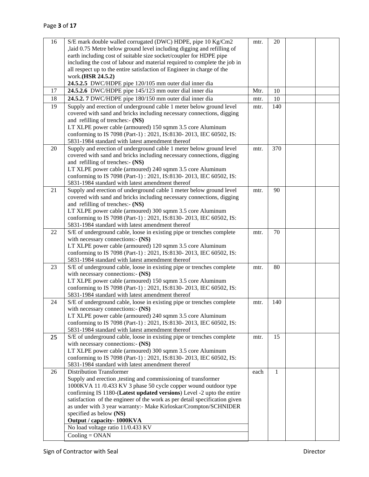| 16 | S/E mark double walled corrugated (DWC) HDPE, pipe 10 Kg/Cm2                                               | mtr. | 20  |  |
|----|------------------------------------------------------------------------------------------------------------|------|-----|--|
|    | laid 0.75 Metre below ground level including digging and refilling of                                      |      |     |  |
|    | earth including cost of suitable size socket/coupler for HDPE pipe                                         |      |     |  |
|    | including the cost of labour and material required to complete the job in                                  |      |     |  |
|    | all respect up to the entire satisfaction of Engineer in charge of the                                     |      |     |  |
|    | work.(HSR 24.5.2)                                                                                          |      |     |  |
|    | 24.5.2.5 DWC/HDPE pipe 120/105 mm outer dial inner dia                                                     |      |     |  |
| 17 | 24.5.2.6 DWC/HDPE pipe 145/123 mm outer dial inner dia                                                     | Mtr. | 10  |  |
| 18 | 24.5.2. 7 DWC/HDPE pipe 180/150 mm outer dial inner dia                                                    | mtr. | 10  |  |
| 19 | Supply and erection of underground cable 1 meter below ground level                                        | mtr. | 140 |  |
|    | covered with sand and bricks including necessary connections, digging                                      |      |     |  |
|    | and refilling of trenches:- (NS)                                                                           |      |     |  |
|    | LT XLPE power cable (armoured) 150 sqmm 3.5 core Aluminum                                                  |      |     |  |
|    | conforming to IS 7098 (Part-1): 2021, IS:8130-2013, IEC 60502, IS:                                         |      |     |  |
|    | 5831-1984 standard with latest amendment thereof                                                           |      |     |  |
| 20 | Supply and erection of underground cable 1 meter below ground level                                        | mtr. | 370 |  |
|    | covered with sand and bricks including necessary connections, digging                                      |      |     |  |
|    | and refilling of trenches:- (NS)                                                                           |      |     |  |
|    | LT XLPE power cable (armoured) 240 sqmm 3.5 core Aluminum                                                  |      |     |  |
|    | conforming to IS 7098 (Part-1): 2021, IS:8130-2013, IEC 60502, IS:                                         |      |     |  |
|    | 5831-1984 standard with latest amendment thereof                                                           |      |     |  |
| 21 | Supply and erection of underground cable 1 meter below ground level                                        | mtr. | 90  |  |
|    | covered with sand and bricks including necessary connections, digging                                      |      |     |  |
|    | and refilling of trenches:- (NS)                                                                           |      |     |  |
|    | LT XLPE power cable (armoured) 300 sqmm 3.5 core Aluminum                                                  |      |     |  |
|    | conforming to IS 7098 (Part-1): 2021, IS:8130-2013, IEC 60502, IS:                                         |      |     |  |
| 22 | 5831-1984 standard with latest amendment thereof                                                           |      | 70  |  |
|    | S/E of underground cable, loose in existing pipe or trenches complete<br>with necessary connections:- (NS) | mtr. |     |  |
|    | LT XLPE power cable (armoured) 120 sqmm 3.5 core Aluminum                                                  |      |     |  |
|    | conforming to IS 7098 (Part-1): 2021, IS:8130-2013, IEC 60502, IS:                                         |      |     |  |
|    | 5831-1984 standard with latest amendment thereof                                                           |      |     |  |
| 23 | S/E of underground cable, loose in existing pipe or trenches complete                                      | mtr. | 80  |  |
|    | with necessary connections:- (NS)                                                                          |      |     |  |
|    | LT XLPE power cable (armoured) 150 sqmm 3.5 core Aluminum                                                  |      |     |  |
|    | conforming to IS 7098 (Part-1): 2021, IS:8130-2013, IEC 60502, IS:                                         |      |     |  |
|    | 5831-1984 standard with latest amendment thereof                                                           |      |     |  |
| 24 | S/E of underground cable, loose in existing pipe or trenches complete                                      | mtr. | 140 |  |
|    | with necessary connections:- (NS)                                                                          |      |     |  |
|    | LT XLPE power cable (armoured) 240 sqmm 3.5 core Aluminum                                                  |      |     |  |
|    | conforming to IS 7098 (Part-1): 2021, IS:8130-2013, IEC 60502, IS:                                         |      |     |  |
|    | 5831-1984 standard with latest amendment thereof                                                           |      |     |  |
| 25 | S/E of underground cable, loose in existing pipe or trenches complete                                      | mtr. | 15  |  |
|    | with necessary connections:- (NS)                                                                          |      |     |  |
|    | LT XLPE power cable (armoured) 300 sqmm 3.5 core Aluminum                                                  |      |     |  |
|    | conforming to IS 7098 (Part-1): 2021, IS:8130-2013, IEC 60502, IS:                                         |      |     |  |
|    | 5831-1984 standard with latest amendment thereof                                                           |      |     |  |
| 26 | <b>Distribution Transformer</b>                                                                            | each | 1   |  |
|    | Supply and erection , testing and commissioning of transformer                                             |      |     |  |
|    | 1000KVA 11 /0.433 KV 3 phase 50 cycle copper wound outdoor type                                            |      |     |  |
|    | confirming IS 1180-(Latest updated versions) Level -2 upto the entire                                      |      |     |  |
|    | satisfaction of the engineer of the work as per detail specification given                                 |      |     |  |
|    | as under with 3 year warranty:- Make Kirloskar/Crompton/SCHNIDER                                           |      |     |  |
|    | specified as below (NS)<br>Output / capacity- 1000KVA                                                      |      |     |  |
|    | No load voltage ratio 11/0.433 KV                                                                          |      |     |  |
|    |                                                                                                            |      |     |  |
|    | $\text{Cooling} = \text{ONAN}$                                                                             |      |     |  |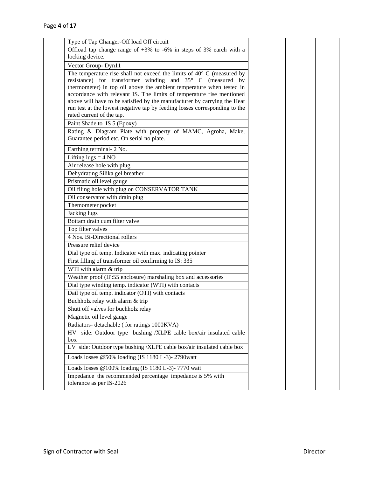| Type of Tap Changer-Off load Off circuit                                        |  |  |
|---------------------------------------------------------------------------------|--|--|
| Offload tap change range of $+3\%$ to $-6\%$ in steps of 3% earch with a        |  |  |
| locking device.                                                                 |  |  |
| Vector Group-Dyn11                                                              |  |  |
| The temperature rise shall not exceed the limits of $40^{\circ}$ C (measured by |  |  |
| resistance) for transformer winding and 35° C (measured by                      |  |  |
| thermometer) in top oil above the ambient temperature when tested in            |  |  |
| accordance with relevant IS. The limits of temperature rise mentioned           |  |  |
| above will have to be satisfied by the manufacturer by carrying the Heat        |  |  |
| run test at the lowest negative tap by feeding losses corresponding to the      |  |  |
| rated current of the tap.                                                       |  |  |
| Paint Shade to IS 5 (Epoxy)                                                     |  |  |
| Rating & Diagram Plate with property of MAMC, Agroha, Make,                     |  |  |
| Guarantee period etc. On serial no plate.                                       |  |  |
| Earthing terminal- 2 No.                                                        |  |  |
| Lifting $lugs = 4 NO$                                                           |  |  |
| Air release hole with plug                                                      |  |  |
| Dehydrating Silika gel breather                                                 |  |  |
| Prismatic oil level gauge                                                       |  |  |
| Oil filing hole with plug on CONSERVATOR TANK                                   |  |  |
| Oil conservator with drain plug                                                 |  |  |
| Themometer pocket                                                               |  |  |
| Jacking lugs                                                                    |  |  |
| Bottam drain cum filter valve                                                   |  |  |
| Top filter valves                                                               |  |  |
| 4 Nos. Bi-Directional rollers                                                   |  |  |
| Pressure relief device                                                          |  |  |
| Dial type oil temp. Indicator with max. indicating pointer                      |  |  |
| First filling of transformer oil confirming to IS: 335                          |  |  |
| WTI with alarm & trip                                                           |  |  |
| Weather proof (IP:55 enclosure) marshaling box and accessories                  |  |  |
| Dial type winding temp. indicator (WTI) with contacts                           |  |  |
| Dail type oil temp. indicator (OTI) with contacts                               |  |  |
| Buchholz relay with alarm & trip                                                |  |  |
| Shutt off valves for buchholz relay                                             |  |  |
| Magnetic oil level gauge                                                        |  |  |
| Radiators- detachable (for ratings 1000KVA)                                     |  |  |
| HV side: Outdoor type bushing /XLPE cable box/air insulated cable               |  |  |
| box                                                                             |  |  |
| LV side: Outdoor type bushing /XLPE cable box/air insulated cable box           |  |  |
| Loads losses @50% loading (IS 1180 L-3)- 2790watt                               |  |  |
| Loads losses @100% loading (IS 1180 L-3)- 7770 watt                             |  |  |
| Impedance the recommended percentage impedance is 5% with                       |  |  |
| tolerance as per IS-2026                                                        |  |  |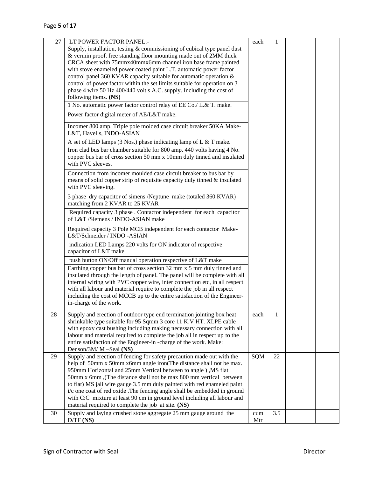| 27 | LT POWER FACTOR PANEL:-                                                                                                                      | each       | 1   |  |
|----|----------------------------------------------------------------------------------------------------------------------------------------------|------------|-----|--|
|    | Supply, installation, testing & commissioning of cubical type panel dust                                                                     |            |     |  |
|    | & vermin proof. free standing floor mounting made out of 2MM thick                                                                           |            |     |  |
|    | CRCA sheet with 75mmx40mmx6mm channel iron base frame painted                                                                                |            |     |  |
|    | with stove enameled power coated paint L.T. automatic power factor                                                                           |            |     |  |
|    | control panel 360 KVAR capacity suitable for automatic operation &                                                                           |            |     |  |
|    | control of power factor within the set limits suitable for operation on 3                                                                    |            |     |  |
|    | phase 4 wire 50 Hz 400/440 volt s A.C. supply. Including the cost of                                                                         |            |     |  |
|    | following items. (NS)                                                                                                                        |            |     |  |
|    | 1 No. automatic power factor control relay of EE Co./ L.& T. make.                                                                           |            |     |  |
|    | Power factor digital meter of AE/L&T make.                                                                                                   |            |     |  |
|    | Incomer 800 amp. Triple pole molded case circuit breaker 50KA Make-<br>L&T, Havells, INDO-ASIAN                                              |            |     |  |
|    | A set of LED lamps (3 Nos.) phase indicating lamp of L & T make.                                                                             |            |     |  |
|    | Iron clad bus bar chamber suitable for 800 amp. 440 volts having 4 No.                                                                       |            |     |  |
|    | copper bus bar of cross section 50 mm x 10mm duly tinned and insulated<br>with PVC sleeves.                                                  |            |     |  |
|    | Connection from incomer moulded case circuit breaker to bus bar by                                                                           |            |     |  |
|    | means of solid copper strip of requisite capacity duly tinned $\&$ insulated                                                                 |            |     |  |
|    | with PVC sleeving.                                                                                                                           |            |     |  |
|    | 3 phase dry capacitor of simens /Neptune make (totaled 360 KVAR)<br>matching from 2 KVAR to 25 KVAR                                          |            |     |  |
|    | Required capacity 3 phase . Contactor independent for each capacitor<br>of L&T /Siemens / INDO-ASIAN make                                    |            |     |  |
|    | Required capacity 3 Pole MCB independent for each contactor Make-<br>L&T/Schneider / INDO -ASIAN                                             |            |     |  |
|    | indication LED Lamps 220 volts for ON indicator of respective<br>capacitor of L&T make                                                       |            |     |  |
|    | push button ON/Off manual operation respective of L&T make                                                                                   |            |     |  |
|    | Earthing copper bus bar of cross section 32 mm x 5 mm duly tinned and                                                                        |            |     |  |
|    | insulated through the length of panel. The panel will be complete with all                                                                   |            |     |  |
|    | internal wiring with PVC copper wire, inter connection etc, in all respect                                                                   |            |     |  |
|    | with all labour and material require to complete the job in all respect                                                                      |            |     |  |
|    | including the cost of MCCB up to the entire satisfaction of the Engineer-                                                                    |            |     |  |
|    | in-charge of the work.                                                                                                                       |            |     |  |
| 28 | Supply and erection of outdoor type end termination jointing box heat                                                                        | each       | 1   |  |
|    | shrinkable type suitable for 95 Sqmm 3 core 11 K.V HT. XLPE cable                                                                            |            |     |  |
|    | with epoxy cast bushing including making necessary connection with all                                                                       |            |     |  |
|    | labour and material required to complete the job all in respect up to the                                                                    |            |     |  |
|    | entire satisfaction of the Engineer-in -charge of the work. Make:                                                                            |            |     |  |
|    | Denson/3M/ M -Seal (NS)                                                                                                                      |            | 22  |  |
| 29 | Supply and erection of fencing for safety precaution made out with the<br>help of 50mm x 50mm x6mm angle iron(The distance shall not be max. | <b>SQM</b> |     |  |
|    | 950mm Horizontal and 25mm Vertical between to angle ) , MS flat                                                                              |            |     |  |
|    | 50mm x 6mm , (The distance shall not be max 800 mm vertical between                                                                          |            |     |  |
|    | to flat) MS jali wire gauge 3.5 mm duly painted with red enameled paint                                                                      |            |     |  |
|    | i/c one coat of red oxide .The fencing angle shall be embedded in ground                                                                     |            |     |  |
|    | with C:C mixture at least 90 cm in ground level including all labour and                                                                     |            |     |  |
|    | material required to complete the job at site. (NS)                                                                                          |            |     |  |
| 30 | Supply and laying crushed stone aggregate 25 mm gauge around the                                                                             | cum        | 3.5 |  |
|    | $D/TF$ (NS)                                                                                                                                  | Mtr        |     |  |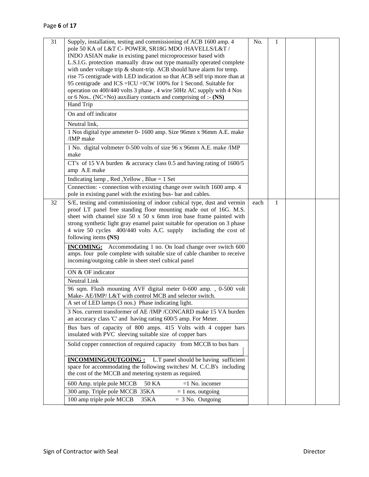| 31 | Supply, installation, testing and commissioning of ACB 1600 amp. 4<br>pole 50 KA of L&T C- POWER, SR18G MDO /HAVELLS/L&T /<br>INDO ASIAN make in existing panel microprocessor based with<br>L.S.I.G. protection manually draw out type manually operated complete<br>with under voltage trip $\&$ shunt-trip. ACB should have alarm for temp.<br>rise 75 centigrade with LED indication so that ACB self trip more than at<br>95 centigrade and ICS = ICU = ICW 100% for 1 Second. Suitable for<br>operation on 400/440 volts 3 phase, 4 wire 50Hz AC supply with 4 Nos<br>or 6 Nos (NC+No) auxiliary contacts and comprising of :- (NS) | No.  | 1 |  |
|----|-------------------------------------------------------------------------------------------------------------------------------------------------------------------------------------------------------------------------------------------------------------------------------------------------------------------------------------------------------------------------------------------------------------------------------------------------------------------------------------------------------------------------------------------------------------------------------------------------------------------------------------------|------|---|--|
|    | Hand Trip                                                                                                                                                                                                                                                                                                                                                                                                                                                                                                                                                                                                                                 |      |   |  |
|    | On and off indicator                                                                                                                                                                                                                                                                                                                                                                                                                                                                                                                                                                                                                      |      |   |  |
|    | Neutral link,                                                                                                                                                                                                                                                                                                                                                                                                                                                                                                                                                                                                                             |      |   |  |
|    | 1 Nos digital type ammeter 0-1600 amp. Size 96mm x 96mm A.E. make<br>/IMP make                                                                                                                                                                                                                                                                                                                                                                                                                                                                                                                                                            |      |   |  |
|    | 1 No. digital voltmeter 0-500 volts of size 96 x 96mm A.E. make /IMP<br>make                                                                                                                                                                                                                                                                                                                                                                                                                                                                                                                                                              |      |   |  |
|    | CT's of 15 VA burden $\&$ accuracy class 0.5 and having rating of 1600/5<br>amp A.E make                                                                                                                                                                                                                                                                                                                                                                                                                                                                                                                                                  |      |   |  |
|    | Indicating lamp, Red, Yellow, Blue $= 1$ Set                                                                                                                                                                                                                                                                                                                                                                                                                                                                                                                                                                                              |      |   |  |
|    | Connection: - connection with existing change over switch 1600 amp. 4<br>pole in existing panel with the existing bus- bar and cables.                                                                                                                                                                                                                                                                                                                                                                                                                                                                                                    |      |   |  |
| 32 | S/E, testing and commissioning of indoor cubical type, dust and vermin<br>proof LT panel free standing floor mounting made out of 16G. M.S.<br>sheet with channel size $50 \times 50 \times 6$ mm iron base frame painted with<br>strong synthetic light gray enamel paint suitable for operation on 3 phase<br>4 wire 50 cycles 400/440 volts A.C. supply including the cost of<br>following items (NS)<br><b>INCOMING:</b> Accommodating 1 no. On load change over switch 600                                                                                                                                                           | each | 1 |  |
|    | amps. four pole complete with suitable size of cable chamber to receive<br>incoming/outgoing cable in sheet steel cubical panel                                                                                                                                                                                                                                                                                                                                                                                                                                                                                                           |      |   |  |
|    | ON & OF indicator                                                                                                                                                                                                                                                                                                                                                                                                                                                                                                                                                                                                                         |      |   |  |
|    | Neutral Link                                                                                                                                                                                                                                                                                                                                                                                                                                                                                                                                                                                                                              |      |   |  |
|    | 96 sqm. Flush mounting AVF digital meter 0-600 amp., 0-500 volt<br>Make- AE/IMP/ L&T with control MCB and selector switch.                                                                                                                                                                                                                                                                                                                                                                                                                                                                                                                |      |   |  |
|    | A set of LED lamps (3 nos.) Phase indicating light.                                                                                                                                                                                                                                                                                                                                                                                                                                                                                                                                                                                       |      |   |  |
|    | 3 Nos. current transformer of AE /IMP /CONCARD make 15 VA burden<br>an accuracy class 'C' and having rating 600/5 amp. For Meter.                                                                                                                                                                                                                                                                                                                                                                                                                                                                                                         |      |   |  |
|    | Bus bars of capacity of 800 amps. 415 Volts with 4 copper bars<br>insulated with PVC sleeving suitable size of copper bars                                                                                                                                                                                                                                                                                                                                                                                                                                                                                                                |      |   |  |
|    | Solid copper connection of required capacity from MCCB to bus bars                                                                                                                                                                                                                                                                                                                                                                                                                                                                                                                                                                        |      |   |  |
|    | <b>INCOMMING/OUTGOING:</b> L.T panel should be having sufficient<br>space for accommodating the following switches/ M. C.C.B's including<br>the cost of the MCCB and metering system as required.                                                                                                                                                                                                                                                                                                                                                                                                                                         |      |   |  |
|    | 600 Amp. triple pole MCCB<br>50 KA<br>$=1$ No. incomer                                                                                                                                                                                                                                                                                                                                                                                                                                                                                                                                                                                    |      |   |  |
|    | 300 amp. Triple pole MCCB 35KA<br>$= 1$ nos. outgoing                                                                                                                                                                                                                                                                                                                                                                                                                                                                                                                                                                                     |      |   |  |
|    | 100 amp triple pole MCCB<br>$=$ 3 No. Outgoing<br>35KA                                                                                                                                                                                                                                                                                                                                                                                                                                                                                                                                                                                    |      |   |  |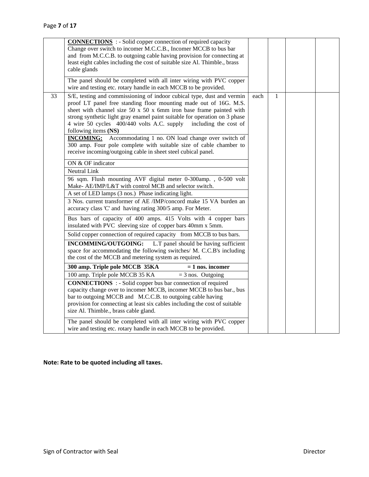|    | <b>CONNECTIONS</b> : - Solid copper connection of required capacity<br>Change over switch to incomer M.C.C.B., Incomer MCCB to bus bar<br>and from M.C.C.B. to outgoing cable having provision for connecting at<br>least eight cables including the cost of suitable size Al. Thimble., brass<br>cable glands                                                                                                                                                                                                                                                                                                           |      |   |  |
|----|--------------------------------------------------------------------------------------------------------------------------------------------------------------------------------------------------------------------------------------------------------------------------------------------------------------------------------------------------------------------------------------------------------------------------------------------------------------------------------------------------------------------------------------------------------------------------------------------------------------------------|------|---|--|
|    | The panel should be completed with all inter wiring with PVC copper<br>wire and testing etc. rotary handle in each MCCB to be provided.                                                                                                                                                                                                                                                                                                                                                                                                                                                                                  |      |   |  |
| 33 | S/E, testing and commissioning of indoor cubical type, dust and vermin<br>proof LT panel free standing floor mounting made out of 16G. M.S.<br>sheet with channel size $50 \times 50 \times 6$ mm iron base frame painted with<br>strong synthetic light gray enamel paint suitable for operation on 3 phase<br>4 wire 50 cycles 400/440 volts A.C. supply<br>including the cost of<br>following items (NS)<br><b>INCOMING:</b> Accommodating 1 no. ON load change over switch of<br>300 amp. Four pole complete with suitable size of cable chamber to<br>receive incoming/outgoing cable in sheet steel cubical panel. | each | 1 |  |
|    | ON & OF indicator                                                                                                                                                                                                                                                                                                                                                                                                                                                                                                                                                                                                        |      |   |  |
|    | <b>Neutral Link</b>                                                                                                                                                                                                                                                                                                                                                                                                                                                                                                                                                                                                      |      |   |  |
|    | 96 sqm. Flush mounting AVF digital meter 0-300amp., 0-500 volt<br>Make- AE/IMP/L&T with control MCB and selector switch.                                                                                                                                                                                                                                                                                                                                                                                                                                                                                                 |      |   |  |
|    | A set of LED lamps (3 nos.) Phase indicating light.                                                                                                                                                                                                                                                                                                                                                                                                                                                                                                                                                                      |      |   |  |
|    | 3 Nos. current transformer of AE /IMP/concord make 15 VA burden an<br>accuracy class 'C' and having rating 300/5 amp. For Meter.                                                                                                                                                                                                                                                                                                                                                                                                                                                                                         |      |   |  |
|    | Bus bars of capacity of 400 amps. 415 Volts with 4 copper bars<br>insulated with PVC sleeving size of copper bars 40mm x 5mm.                                                                                                                                                                                                                                                                                                                                                                                                                                                                                            |      |   |  |
|    | Solid copper connection of required capacity from MCCB to bus bars.                                                                                                                                                                                                                                                                                                                                                                                                                                                                                                                                                      |      |   |  |
|    | INCOMMING/OUTGOING:<br>L.T panel should be having sufficient<br>space for accommodating the following switches/ M. C.C.B's including<br>the cost of the MCCB and metering system as required.                                                                                                                                                                                                                                                                                                                                                                                                                            |      |   |  |
|    | 300 amp. Triple pole MCCB 35KA<br>$= 1$ nos. incomer                                                                                                                                                                                                                                                                                                                                                                                                                                                                                                                                                                     |      |   |  |
|    | 100 amp. Triple pole MCCB 35 KA<br>$=$ 3 nos. Outgoing                                                                                                                                                                                                                                                                                                                                                                                                                                                                                                                                                                   |      |   |  |
|    | <b>CONNECTIONS</b> : - Solid copper bus bar connection of required<br>capacity change over to incomer MCCB, incomer MCCB to bus bar., bus<br>bar to outgoing MCCB and M.C.C.B. to outgoing cable having<br>provision for connecting at least six cables including the cost of suitable<br>size Al. Thimble., brass cable gland.                                                                                                                                                                                                                                                                                          |      |   |  |
|    | The panel should be completed with all inter wiring with PVC copper<br>wire and testing etc. rotary handle in each MCCB to be provided.                                                                                                                                                                                                                                                                                                                                                                                                                                                                                  |      |   |  |

### **Note: Rate to be quoted including all taxes.**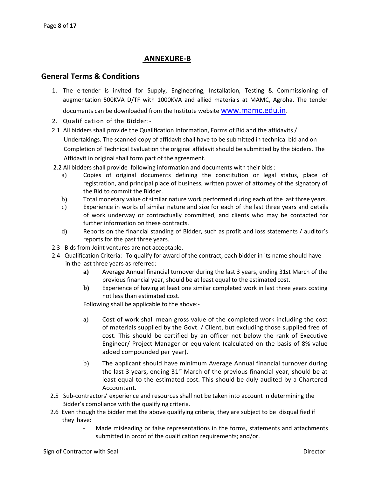#### **ANNEXURE-B**

#### **General Terms & Conditions**

- 1. The e-tender is invited for Supply, Engineering, Installation, Testing & Commissioning of augmentation 500KVA D/TF with 1000KVA and allied materials at MAMC, Agroha. The tender documents can be downloaded from the Institute website [www.mamc.edu.in](http://www.mamc.edu.in/).
- 2. Qualification of the Bidder:-
- 2.1 All bidders shall provide the Qualification Information, Forms of Bid and the affidavits / Undertakings. The scanned copy of affidavit shall have to be submitted in technical bid and on Completion of Technical Evaluation the original affidavit should be submitted by the bidders. The Affidavit in original shall form part of the agreement.
- 2.2 All bidders shall provide following information and documents with their bids:
	- a) Copies of original documents defining the constitution or legal status, place of registration, and principal place of business, written power of attorney of the signatory of the Bid to commit the Bidder.
	- b) Total monetary value of similar nature work performed during each of the last three years.
	- c) Experience in works of similar nature and size for each of the last three years and details of work underway or contractually committed, and clients who may be contacted for further information on these contracts.
	- d) Reports on the financial standing of Bidder, such as profit and loss statements / auditor's reports for the past three years.
- 2.3 Bids from Joint ventures are not acceptable.
- 2.4 Qualification Criteria:- To qualify for award of the contract, each bidder in its name should have in the last three years as referred:
	- **a)** Average Annual financial turnover during the last 3 years, ending 31st March of the previous financial year, should be at least equal to the estimated cost.
	- **b**) Experience of having at least one similar completed work in last three years costing not less than estimated cost.

Following shall be applicable to the above:-

- a) Cost of work shall mean gross value of the completed work including the cost of materials supplied by the Govt. / Client, but excluding those supplied free of cost. This should be certified by an officer not below the rank of Executive Engineer/ Project Manager or equivalent (calculated on the basis of 8% value added compounded per year).
- b) The applicant should have minimum Average Annual financial turnover during the last 3 years, ending  $31<sup>st</sup>$  March of the previous financial year, should be at least equal to the estimated cost. This should be duly audited by a Chartered Accountant.
- 2.5 Sub-contractors' experience and resources shall not be taken into account in determining the Bidder's compliance with the qualifying criteria.
- 2.6 Even though the bidder met the above qualifying criteria, they are subject to be disqualified if they have:
	- Made misleading or false representations in the forms, statements and attachments submitted in proof of the qualification requirements; and/or.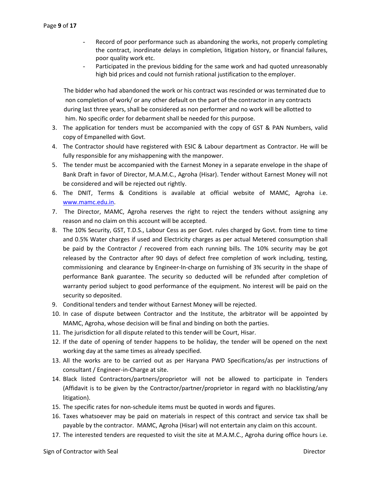- Record of poor performance such as abandoning the works, not properly completing the contract, inordinate delays in completion, litigation history, or financial failures, poor quality work etc.
- Participated in the previous bidding for the same work and had quoted unreasonably high bid prices and could not furnish rational justification to the employer.

 The bidder who had abandoned the work or his contract was rescinded or was terminated due to non completion of work/ or any other default on the part of the contractor in any contracts during last three years, shall be considered as non performer and no work will be allotted to him. No specific order for debarment shall be needed for this purpose.

- 3. The application for tenders must be accompanied with the copy of GST & PAN Numbers, valid copy of Empanelled with Govt.
- 4. The Contractor should have registered with ESIC & Labour department as Contractor. He will be fully responsible for any mishappening with the manpower.
- 5. The tender must be accompanied with the Earnest Money in a separate envelope in the shape of Bank Draft in favor of Director, M.A.M.C., Agroha (Hisar). Tender without Earnest Money will not be considered and will be rejected out rightly.
- 6. The DNIT, Terms & Conditions is available at official website of MAMC, Agroha i.e. [www.mamc.edu.in.](http://www.mamc.edu.in/)
- 7. The Director, MAMC, Agroha reserves the right to reject the tenders without assigning any reason and no claim on this account will be accepted.
- 8. The 10% Security, GST, T.D.S., Labour Cess as per Govt. rules charged by Govt. from time to time and 0.5% Water charges if used and Electricity charges as per actual Metered consumption shall be paid by the Contractor / recovered from each running bills. The 10% security may be got released by the Contractor after 90 days of defect free completion of work including, testing, commissioning and clearance by Engineer-In-charge on furnishing of 3% security in the shape of performance Bank guarantee. The security so deducted will be refunded after completion of warranty period subject to good performance of the equipment. No interest will be paid on the security so deposited.
- 9. Conditional tenders and tender without Earnest Money will be rejected.
- 10. In case of dispute between Contractor and the Institute, the arbitrator will be appointed by MAMC, Agroha, whose decision will be final and binding on both the parties.
- 11. The jurisdiction for all dispute related to this tender will be Court, Hisar.
- 12. If the date of opening of tender happens to be holiday, the tender will be opened on the next working day at the same times as already specified.
- 13. All the works are to be carried out as per Haryana PWD Specifications/as per instructions of consultant / Engineer-in-Charge at site.
- 14. Black listed Contractors/partners/proprietor will not be allowed to participate in Tenders (Affidavit is to be given by the Contractor/partner/proprietor in regard with no blacklisting/any litigation).
- 15. The specific rates for non-schedule items must be quoted in words and figures.
- 16. Taxes whatsoever may be paid on materials in respect of this contract and service tax shall be payable by the contractor. MAMC, Agroha (Hisar) will not entertain any claim on this account.
- 17. The interested tenders are requested to visit the site at M.A.M.C., Agroha during office hours i.e.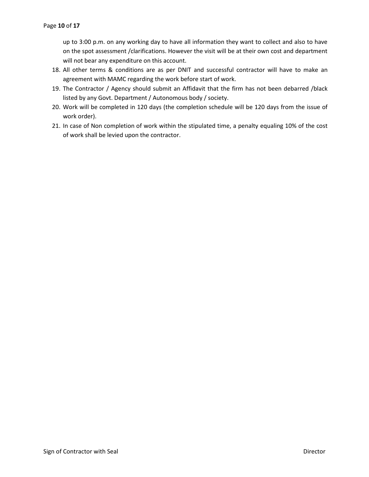up to 3:00 p.m. on any working day to have all information they want to collect and also to have on the spot assessment /clarifications. However the visit will be at their own cost and department will not bear any expenditure on this account.

- 18. All other terms & conditions are as per DNIT and successful contractor will have to make an agreement with MAMC regarding the work before start of work.
- 19. The Contractor / Agency should submit an Affidavit that the firm has not been debarred /black listed by any Govt. Department / Autonomous body / society.
- 20. Work will be completed in 120 days (the completion schedule will be 120 days from the issue of work order).
- 21. In case of Non completion of work within the stipulated time, a penalty equaling 10% of the cost of work shall be levied upon the contractor.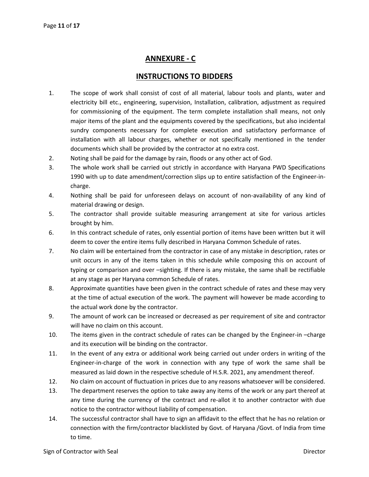### **ANNEXURE - C**

### **INSTRUCTIONS TO BIDDERS**

- 1. The scope of work shall consist of cost of all material, labour tools and plants, water and electricity bill etc., engineering, supervision, Installation, calibration, adjustment as required for commissioning of the equipment. The term complete installation shall means, not only major items of the plant and the equipments covered by the specifications, but also incidental sundry components necessary for complete execution and satisfactory performance of installation with all labour charges, whether or not specifically mentioned in the tender documents which shall be provided by the contractor at no extra cost.
- 2. Noting shall be paid for the damage by rain, floods or any other act of God.
- 3. The whole work shall be carried out strictly in accordance with Haryana PWD Specifications 1990 with up to date amendment/correction slips up to entire satisfaction of the Engineer-incharge.
- 4. Nothing shall be paid for unforeseen delays on account of non-availability of any kind of material drawing or design.
- 5. The contractor shall provide suitable measuring arrangement at site for various articles brought by him.
- 6. In this contract schedule of rates, only essential portion of items have been written but it will deem to cover the entire items fully described in Haryana Common Schedule of rates.
- 7. No claim will be entertained from the contractor in case of any mistake in description, rates or unit occurs in any of the items taken in this schedule while composing this on account of typing or comparison and over –sighting. If there is any mistake, the same shall be rectifiable at any stage as per Haryana common Schedule of rates.
- 8. Approximate quantities have been given in the contract schedule of rates and these may very at the time of actual execution of the work. The payment will however be made according to the actual work done by the contractor.
- 9. The amount of work can be increased or decreased as per requirement of site and contractor will have no claim on this account.
- 10. The items given in the contract schedule of rates can be changed by the Engineer-in –charge and its execution will be binding on the contractor.
- 11. In the event of any extra or additional work being carried out under orders in writing of the Engineer-in-charge of the work in connection with any type of work the same shall be measured as laid down in the respective schedule of H.S.R. 2021, any amendment thereof.
- 12. No claim on account of fluctuation in prices due to any reasons whatsoever will be considered.
- 13. The department reserves the option to take away any items of the work or any part thereof at any time during the currency of the contract and re-allot it to another contractor with due notice to the contractor without liability of compensation.
- 14. The successful contractor shall have to sign an affidavit to the effect that he has no relation or connection with the firm/contractor blacklisted by Govt. of Haryana /Govt. of India from time to time.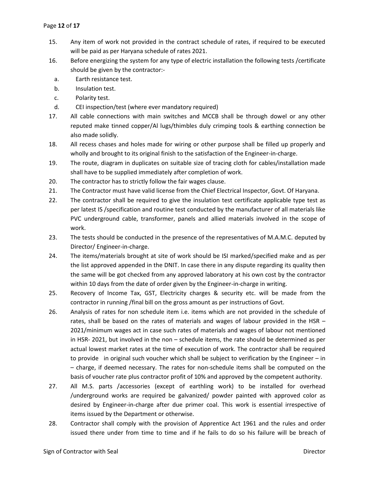- 15. Any item of work not provided in the contract schedule of rates, if required to be executed will be paid as per Haryana schedule of rates 2021.
- 16. Before energizing the system for any type of electric installation the following tests /certificate should be given by the contractor:
	- a. Earth resistance test.
	- b. Insulation test.
	- c. Polarity test.
	- d. CEI inspection/test (where ever mandatory required)
- 17. All cable connections with main switches and MCCB shall be through dowel or any other reputed make tinned copper/Al lugs/thimbles duly crimping tools & earthing connection be also made solidly.
- 18. All recess chases and holes made for wiring or other purpose shall be filled up properly and wholly and brought to its original finish to the satisfaction of the Engineer-in-charge.
- 19. The route, diagram in duplicates on suitable size of tracing cloth for cables/installation made shall have to be supplied immediately after completion of work.
- 20. The contractor has to strictly follow the fair wages clause.
- 21. The Contractor must have valid license from the Chief Electrical Inspector, Govt. Of Haryana.
- 22. The contractor shall be required to give the insulation test certificate applicable type test as per latest IS /specification and routine test conducted by the manufacturer of all materials like PVC underground cable, transformer, panels and allied materials involved in the scope of work.
- 23. The tests should be conducted in the presence of the representatives of M.A.M.C. deputed by Director/ Engineer-in-charge.
- 24. The items/materials brought at site of work should be ISI marked/specified make and as per the list approved appended in the DNIT. In case there in any dispute regarding its quality then the same will be got checked from any approved laboratory at his own cost by the contractor within 10 days from the date of order given by the Engineer-in-charge in writing.
- 25. Recovery of Income Tax, GST, Electricity charges & security etc. will be made from the contractor in running /final bill on the gross amount as per instructions of Govt.
- 26. Analysis of rates for non schedule item i.e. items which are not provided in the schedule of rates, shall be based on the rates of materials and wages of labour provided in the HSR – 2021/minimum wages act in case such rates of materials and wages of labour not mentioned in HSR- 2021, but involved in the non – schedule items, the rate should be determined as per actual lowest market rates at the time of execution of work. The contractor shall be required to provide in original such voucher which shall be subject to verification by the Engineer – in – charge, if deemed necessary. The rates for non-schedule items shall be computed on the basis of voucher rate plus contractor profit of 10% and approved by the competent authority.
- 27. All M.S. parts /accessories (except of earthling work) to be installed for overhead /underground works are required be galvanized/ powder painted with approved color as desired by Engineer-in-charge after due primer coal. This work is essential irrespective of items issued by the Department or otherwise.
- 28. Contractor shall comply with the provision of Apprentice Act 1961 and the rules and order issued there under from time to time and if he fails to do so his failure will be breach of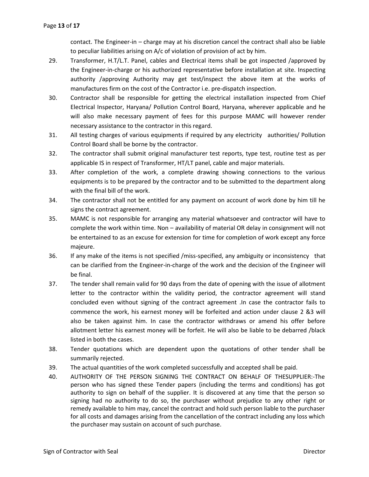contact. The Engineer-in – charge may at his discretion cancel the contract shall also be liable to peculiar liabilities arising on A/c of violation of provision of act by him.

- 29. Transformer, H.T/L.T. Panel, cables and Electrical items shall be got inspected /approved by the Engineer-in-charge or his authorized representative before installation at site. Inspecting authority /approving Authority may get test/inspect the above item at the works of manufactures firm on the cost of the Contractor i.e. pre-dispatch inspection.
- 30. Contractor shall be responsible for getting the electrical installation inspected from Chief Electrical Inspector, Haryana/ Pollution Control Board, Haryana, wherever applicable and he will also make necessary payment of fees for this purpose MAMC will however render necessary assistance to the contractor in this regard.
- 31. All testing charges of various equipments if required by any electricity authorities/ Pollution Control Board shall be borne by the contractor.
- 32. The contractor shall submit original manufacturer test reports, type test, routine test as per applicable IS in respect of Transformer, HT/LT panel, cable and major materials.
- 33. After completion of the work, a complete drawing showing connections to the various equipments is to be prepared by the contractor and to be submitted to the department along with the final bill of the work.
- 34. The contractor shall not be entitled for any payment on account of work done by him till he signs the contract agreement.
- 35. MAMC is not responsible for arranging any material whatsoever and contractor will have to complete the work within time. Non – availability of material OR delay in consignment will not be entertained to as an excuse for extension for time for completion of work except any force majeure.
- 36. If any make of the items is not specified /miss-specified, any ambiguity or inconsistency that can be clarified from the Engineer-in-charge of the work and the decision of the Engineer will be final.
- 37. The tender shall remain valid for 90 days from the date of opening with the issue of allotment letter to the contractor within the validity period, the contractor agreement will stand concluded even without signing of the contract agreement .In case the contractor fails to commence the work, his earnest money will be forfeited and action under clause 2 &3 will also be taken against him. In case the contractor withdraws or amend his offer before allotment letter his earnest money will be forfeit. He will also be liable to be debarred /black listed in both the cases.
- 38. Tender quotations which are dependent upon the quotations of other tender shall be summarily rejected.
- 39. The actual quantities of the work completed successfully and accepted shall be paid.
- 40. AUTHORITY OF THE PERSON SIGNING THE CONTRACT ON BEHALF OF THESUPPLIER:-The person who has signed these Tender papers (including the terms and conditions) has got authority to sign on behalf of the supplier. It is discovered at any time that the person so signing had no authority to do so, the purchaser without prejudice to any other right or remedy available to him may, cancel the contract and hold such person liable to the purchaser for all costs and damages arising from the cancellation of the contract including any loss which the purchaser may sustain on account of such purchase.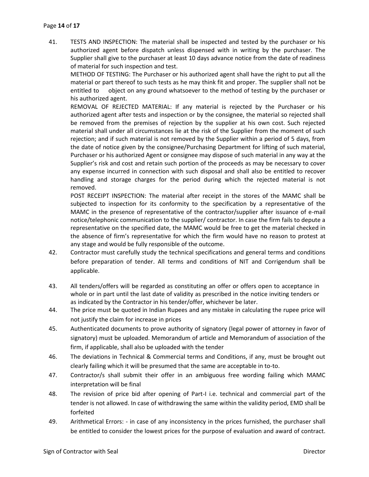41. TESTS AND INSPECTION: The material shall be inspected and tested by the purchaser or his authorized agent before dispatch unless dispensed with in writing by the purchaser. The Supplier shall give to the purchaser at least 10 days advance notice from the date of readiness of material for such inspection and test.

METHOD OF TESTING: The Purchaser or his authorized agent shall have the right to put all the material or part thereof to such tests as he may think fit and proper. The supplier shall not be entitled to object on any ground whatsoever to the method of testing by the purchaser or his authorized agent.

REMOVAL OF REJECTED MATERIAL: If any material is rejected by the Purchaser or his authorized agent after tests and inspection or by the consignee, the material so rejected shall be removed from the premises of rejection by the supplier at his own cost. Such rejected material shall under all circumstances lie at the risk of the Supplier from the moment of such rejection; and if such material is not removed by the Supplier within a period of 5 days, from the date of notice given by the consignee/Purchasing Department for lifting of such material, Purchaser or his authorized Agent or consignee may dispose of such material in any way at the Supplier's risk and cost and retain such portion of the proceeds as may be necessary to cover any expense incurred in connection with such disposal and shall also be entitled to recover handling and storage charges for the period during which the rejected material is not removed.

POST RECEIPT INSPECTION: The material after receipt in the stores of the MAMC shall be subjected to inspection for its conformity to the specification by a representative of the MAMC in the presence of representative of the contractor/supplier after issuance of e-mail notice/telephonic communication to the supplier/ contractor. In case the firm fails to depute a representative on the specified date, the MAMC would be free to get the material checked in the absence of firm's representative for which the firm would have no reason to protest at any stage and would be fully responsible of the outcome.

- 42. Contractor must carefully study the technical specifications and general terms and conditions before preparation of tender. All terms and conditions of NIT and Corrigendum shall be applicable.
- 43. All tenders/offers will be regarded as constituting an offer or offers open to acceptance in whole or in part until the last date of validity as prescribed in the notice inviting tenders or as indicated by the Contractor in his tender/offer, whichever be later.
- 44. The price must be quoted in Indian Rupees and any mistake in calculating the rupee price will not justify the claim for increase in prices
- 45. Authenticated documents to prove authority of signatory (legal power of attorney in favor of signatory) must be uploaded. Memorandum of article and Memorandum of association of the firm, if applicable, shall also be uploaded with the tender
- 46. The deviations in Technical & Commercial terms and Conditions, if any, must be brought out clearly failing which it will be presumed that the same are acceptable in to-to.
- 47. Contractor/s shall submit their offer in an ambiguous free wording failing which MAMC interpretation will be final
- 48. The revision of price bid after opening of Part-I i.e. technical and commercial part of the tender is not allowed. In case of withdrawing the same within the validity period, EMD shall be forfeited
- 49. Arithmetical Errors: in case of any inconsistency in the prices furnished, the purchaser shall be entitled to consider the lowest prices for the purpose of evaluation and award of contract.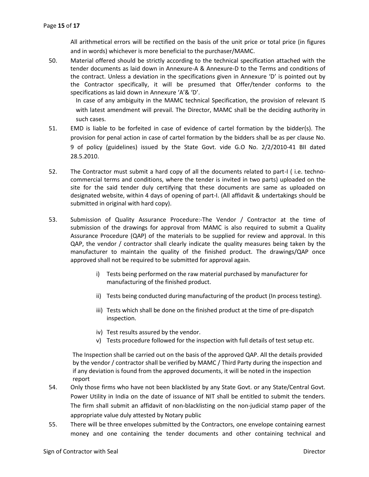All arithmetical errors will be rectified on the basis of the unit price or total price (in figures and in words) whichever is more beneficial to the purchaser/MAMC.

50. Material offered should be strictly according to the technical specification attached with the tender documents as laid down in Annexure-A & Annexure-D to the Terms and conditions of the contract. Unless a deviation in the specifications given in Annexure 'D' is pointed out by the Contractor specifically, it will be presumed that Offer/tender conforms to the specifications as laid down in Annexure 'A'& 'D'.

In case of any ambiguity in the MAMC technical Specification, the provision of relevant IS with latest amendment will prevail. The Director, MAMC shall be the deciding authority in such cases.

- 51. EMD is liable to be forfeited in case of evidence of cartel formation by the bidder(s). The provision for penal action in case of cartel formation by the bidders shall be as per clause No. 9 of policy (guidelines) issued by the State Govt. vide G.O No. 2/2/2010-41 BII dated 28.5.2010.
- 52. The Contractor must submit a hard copy of all the documents related to part-I ( i.e. technocommercial terms and conditions, where the tender is invited in two parts) uploaded on the site for the said tender duly certifying that these documents are same as uploaded on designated website, within 4 days of opening of part-I. (All affidavit & undertakings should be submitted in original with hard copy).
- 53. Submission of Quality Assurance Procedure:-The Vendor / Contractor at the time of submission of the drawings for approval from MAMC is also required to submit a Quality Assurance Procedure (QAP) of the materials to be supplied for review and approval. In this QAP, the vendor / contractor shall clearly indicate the quality measures being taken by the manufacturer to maintain the quality of the finished product. The drawings/QAP once approved shall not be required to be submitted for approval again.
	- i) Tests being performed on the raw material purchased by manufacturer for manufacturing of the finished product.
	- ii) Tests being conducted during manufacturing of the product (In process testing).
	- iii) Tests which shall be done on the finished product at the time of pre-dispatch inspection.
	- iv) Test results assured by the vendor.
	- v) Tests procedure followed for the inspection with full details of test setup etc.

 The Inspection shall be carried out on the basis of the approved QAP. All the details provided by the vendor / contractor shall be verified by MAMC / Third Party during the inspection and if any deviation is found from the approved documents, it will be noted in the inspection report

- 54. Only those firms who have not been blacklisted by any State Govt. or any State/Central Govt. Power Utility in India on the date of issuance of NIT shall be entitled to submit the tenders. The firm shall submit an affidavit of non-blacklisting on the non-judicial stamp paper of the appropriate value duly attested by Notary public
- 55. There will be three envelopes submitted by the Contractors, one envelope containing earnest money and one containing the tender documents and other containing technical and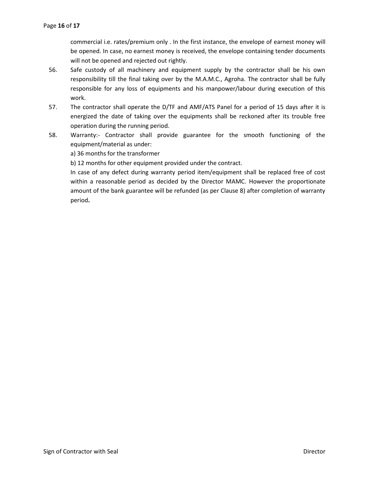commercial i.e. rates/premium only . In the first instance, the envelope of earnest money will be opened. In case, no earnest money is received, the envelope containing tender documents will not be opened and rejected out rightly.

- 56. Safe custody of all machinery and equipment supply by the contractor shall be his own responsibility till the final taking over by the M.A.M.C., Agroha. The contractor shall be fully responsible for any loss of equipments and his manpower/labour during execution of this work.
- 57. The contractor shall operate the D/TF and AMF/ATS Panel for a period of 15 days after it is energized the date of taking over the equipments shall be reckoned after its trouble free operation during the running period.
- 58. Warranty:- Contractor shall provide guarantee for the smooth functioning of the equipment/material as under:

a) 36 months for the transformer

b) 12 months for other equipment provided under the contract.

In case of any defect during warranty period item/equipment shall be replaced free of cost within a reasonable period as decided by the Director MAMC. However the proportionate amount of the bank guarantee will be refunded (as per Clause 8) after completion of warranty period**.**